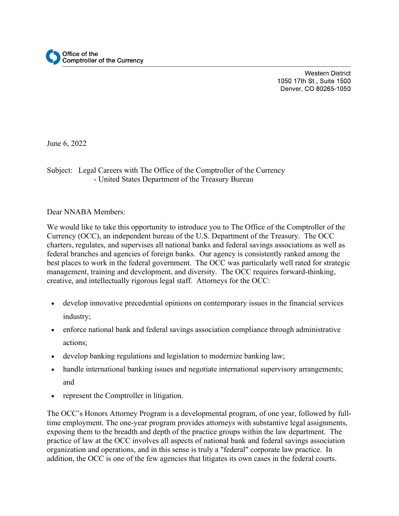**Western District** 1050 17th St., Suite 1500 Denver, CO 80265-1050

June 6, 2022

## Subject: Legal Careers with The Office of the Comptroller of the Currency - United States Department of the Treasury Bureau

Dear NNABA Members:

We would like to take this opportunity to introduce you to The Office of the Comptroller of the Currency (OCC), an independent bureau of the U.S. Department of the Treasury. The OCC charters, regulates, and supervises all national banks and federal savings associations as well as federal branches and agencies of foreign banks. Our agency is consistently ranked among the best places to work in the federal government. The OCC was particularly well rated for strategic management, training and development, and diversity. The OCC requires forward-thinking, creative, and intellectually rigorous legal staff. Attorneys for the OCC:

- develop innovative precedential opinions on contemporary issues in the financial services industry;
- enforce national bank and federal savings association compliance through administrative actions;
- develop banking regulations and legislation to modernize banking law;
- handle international banking issues and negotiate international supervisory arrangements; and
- represent the Comptroller in litigation.

The OCC's Honors Attorney Program is a developmental program, of one year, followed by fulltime employment. The one-year program provides attorneys with substantive legal assignments, exposing them to the breadth and depth of the practice groups within the law department. The practice of law at the OCC involves all aspects of national bank and federal savings association organization and operations, and in this sense is truly a "federal" corporate law practice. In addition, the OCC is one of the few agencies that litigates its own cases in the federal courts.